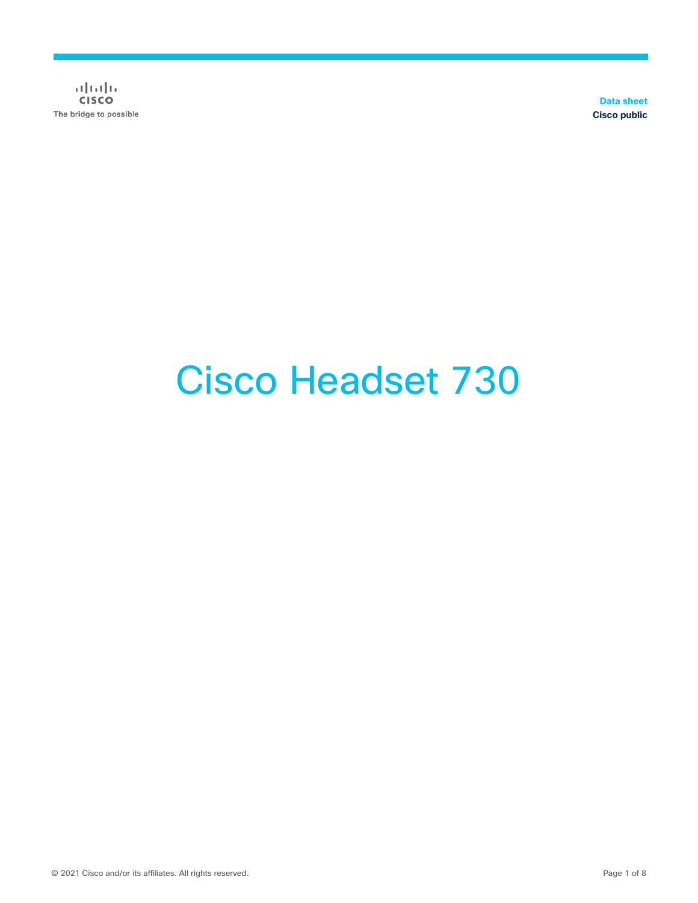$\frac{1}{2}$ The bridge to possible

**Data sheet Cisco public**

# Cisco Headset 730

© 2021 Cisco and/or its affiliates. All rights reserved. Page 1 of 8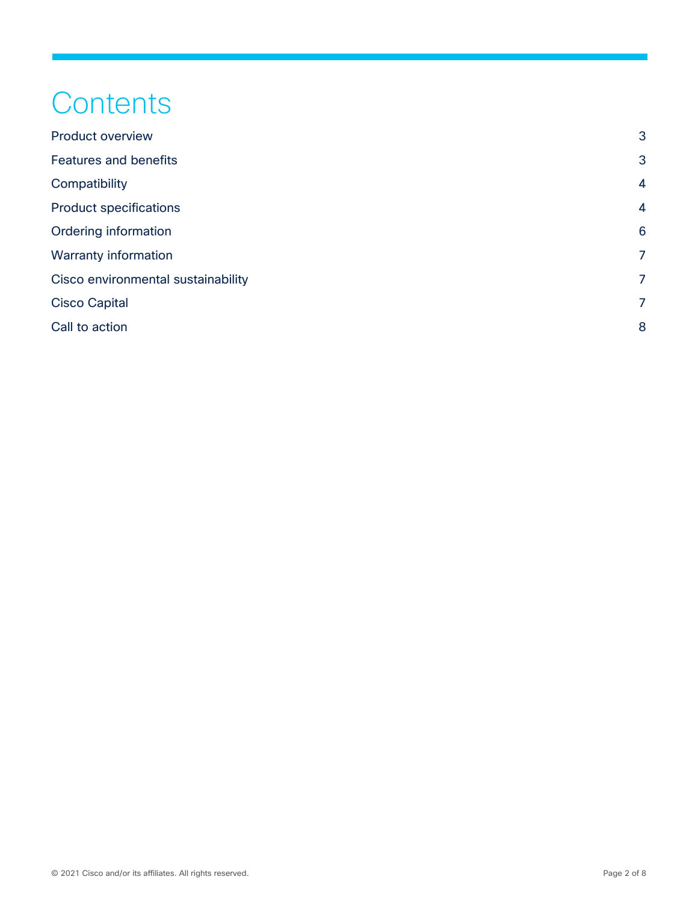# **Contents**

| <b>Product overview</b>            | 3              |
|------------------------------------|----------------|
| <b>Features and benefits</b>       | 3              |
| Compatibility                      | $\overline{4}$ |
| <b>Product specifications</b>      | $\overline{4}$ |
| Ordering information               | 6              |
| <b>Warranty information</b>        | $\overline{7}$ |
| Cisco environmental sustainability | 7              |
| <b>Cisco Capital</b>               | 7              |
| Call to action                     | 8              |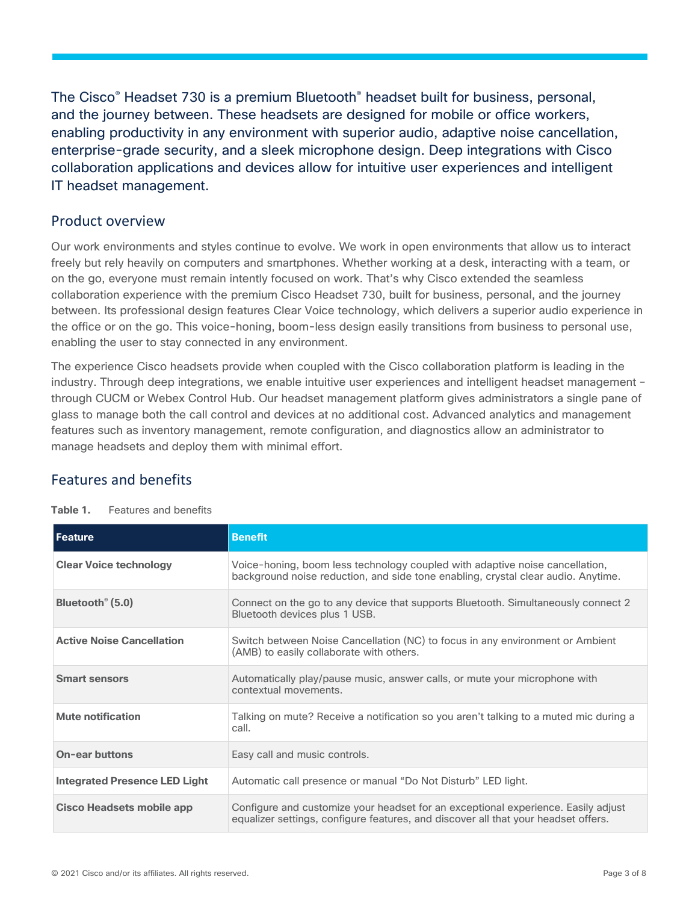The Cisco® Headset 730 is a premium Bluetooth® headset built for business, personal, and the journey between. These headsets are designed for mobile or office workers, enabling productivity in any environment with superior audio, adaptive noise cancellation, enterprise-grade security, and a sleek microphone design. Deep integrations with Cisco collaboration applications and devices allow for intuitive user experiences and intelligent IT headset management.

#### <span id="page-2-0"></span>Product overview

Our work environments and styles continue to evolve. We work in open environments that allow us to interact freely but rely heavily on computers and smartphones. Whether working at a desk, interacting with a team, or on the go, everyone must remain intently focused on work. That's why Cisco extended the seamless collaboration experience with the premium Cisco Headset 730, built for business, personal, and the journey between. Its professional design features Clear Voice technology, which delivers a superior audio experience in the office or on the go. This voice-honing, boom-less design easily transitions from business to personal use, enabling the user to stay connected in any environment.

The experience Cisco headsets provide when coupled with the Cisco collaboration platform is leading in the industry. Through deep integrations, we enable intuitive user experiences and intelligent headset management – through CUCM or Webex Control Hub. Our headset management platform gives administrators a single pane of glass to manage both the call control and devices at no additional cost. Advanced analytics and management features such as inventory management, remote configuration, and diagnostics allow an administrator to manage headsets and deploy them with minimal effort.

# <span id="page-2-1"></span>Features and benefits

| Feature                              | <b>Benefit</b>                                                                                                                                                          |
|--------------------------------------|-------------------------------------------------------------------------------------------------------------------------------------------------------------------------|
| <b>Clear Voice technology</b>        | Voice-honing, boom less technology coupled with adaptive noise cancellation,<br>background noise reduction, and side tone enabling, crystal clear audio. Anytime.       |
| Bluetooth <sup>®</sup> (5.0)         | Connect on the go to any device that supports Bluetooth. Simultaneously connect 2<br>Bluetooth devices plus 1 USB.                                                      |
| <b>Active Noise Cancellation</b>     | Switch between Noise Cancellation (NC) to focus in any environment or Ambient<br>(AMB) to easily collaborate with others.                                               |
| <b>Smart sensors</b>                 | Automatically play/pause music, answer calls, or mute your microphone with<br>contextual movements.                                                                     |
| Mute notification                    | Talking on mute? Receive a notification so you aren't talking to a muted mic during a<br>call.                                                                          |
| <b>On-ear buttons</b>                | Easy call and music controls.                                                                                                                                           |
| <b>Integrated Presence LED Light</b> | Automatic call presence or manual "Do Not Disturb" LED light.                                                                                                           |
| <b>Cisco Headsets mobile app</b>     | Configure and customize your headset for an exceptional experience. Easily adjust<br>equalizer settings, configure features, and discover all that your headset offers. |

| Table 1. | Features and benefits |  |
|----------|-----------------------|--|
|          |                       |  |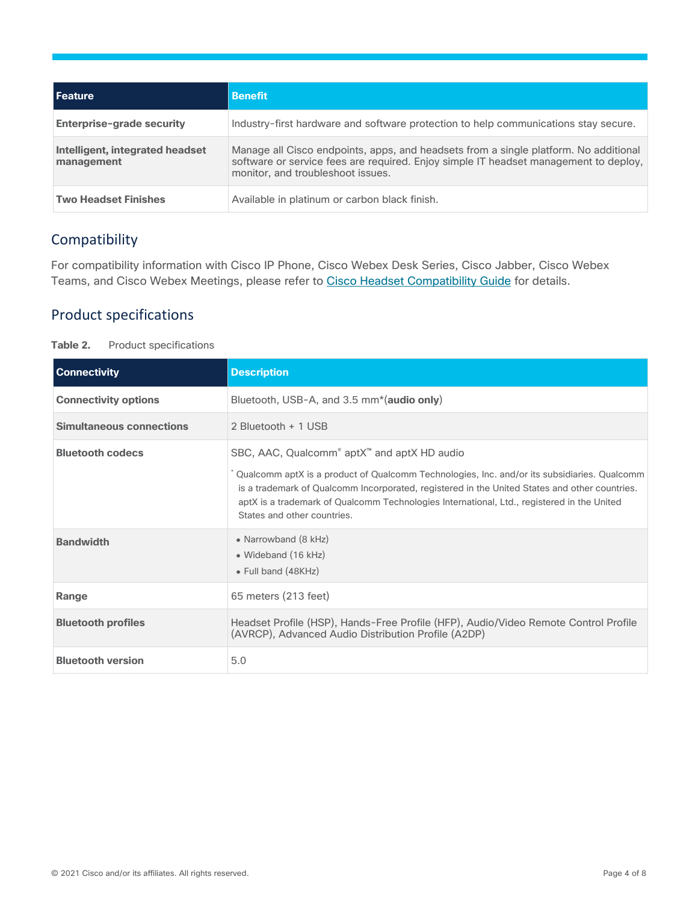| l Feature                                     | <b>Benefit</b>                                                                                                                                                                                                    |
|-----------------------------------------------|-------------------------------------------------------------------------------------------------------------------------------------------------------------------------------------------------------------------|
| Enterprise-grade security                     | Industry-first hardware and software protection to help communications stay secure.                                                                                                                               |
| Intelligent, integrated headset<br>management | Manage all Cisco endpoints, apps, and headsets from a single platform. No additional<br>software or service fees are required. Enjoy simple IT headset management to deploy,<br>monitor, and troubleshoot issues. |
| <b>Two Headset Finishes</b>                   | Available in platinum or carbon black finish.                                                                                                                                                                     |

#### <span id="page-3-0"></span>Compatibility

For compatibility information with Cisco IP Phone, Cisco Webex Desk Series, Cisco Jabber, Cisco Webex Teams, and Cisco Webex Meetings, please refer to Cisco Headset [Compatibility](https://www.cisco.com/c/en/us/td/docs/voice_ip_comm/cuipph/Headsets/Compatibility_Guide/n500_b_headset-compatibility/n500_b_headset-compatibility_chapter_01.html) Guide for details.

#### <span id="page-3-1"></span>Product specifications

| Table 2. |  | <b>Product specifications</b> |
|----------|--|-------------------------------|
|----------|--|-------------------------------|

| <b>Connectivity</b>             | <b>Description</b>                                                                                                                                                                                                                                                                                                                                                                               |
|---------------------------------|--------------------------------------------------------------------------------------------------------------------------------------------------------------------------------------------------------------------------------------------------------------------------------------------------------------------------------------------------------------------------------------------------|
| <b>Connectivity options</b>     | Bluetooth, USB-A, and 3.5 mm <sup>*</sup> (audio only)                                                                                                                                                                                                                                                                                                                                           |
| <b>Simultaneous connections</b> | 2 Bluetooth + 1 USB                                                                                                                                                                                                                                                                                                                                                                              |
| <b>Bluetooth codecs</b>         | SBC, AAC, Qualcomm <sup>®</sup> aptX <sup>™</sup> and aptX HD audio<br>Qualcomm aptX is a product of Qualcomm Technologies, Inc. and/or its subsidiaries. Qualcomm<br>is a trademark of Qualcomm Incorporated, registered in the United States and other countries.<br>aptX is a trademark of Qualcomm Technologies International, Ltd., registered in the United<br>States and other countries. |
| <b>Bandwidth</b>                | • Narrowband (8 kHz)<br>• Wideband (16 kHz)<br>• Full band (48KHz)                                                                                                                                                                                                                                                                                                                               |
| Range                           | 65 meters (213 feet)                                                                                                                                                                                                                                                                                                                                                                             |
| <b>Bluetooth profiles</b>       | Headset Profile (HSP), Hands-Free Profile (HFP), Audio/Video Remote Control Profile<br>(AVRCP), Advanced Audio Distribution Profile (A2DP)                                                                                                                                                                                                                                                       |
| <b>Bluetooth version</b>        | 5.0                                                                                                                                                                                                                                                                                                                                                                                              |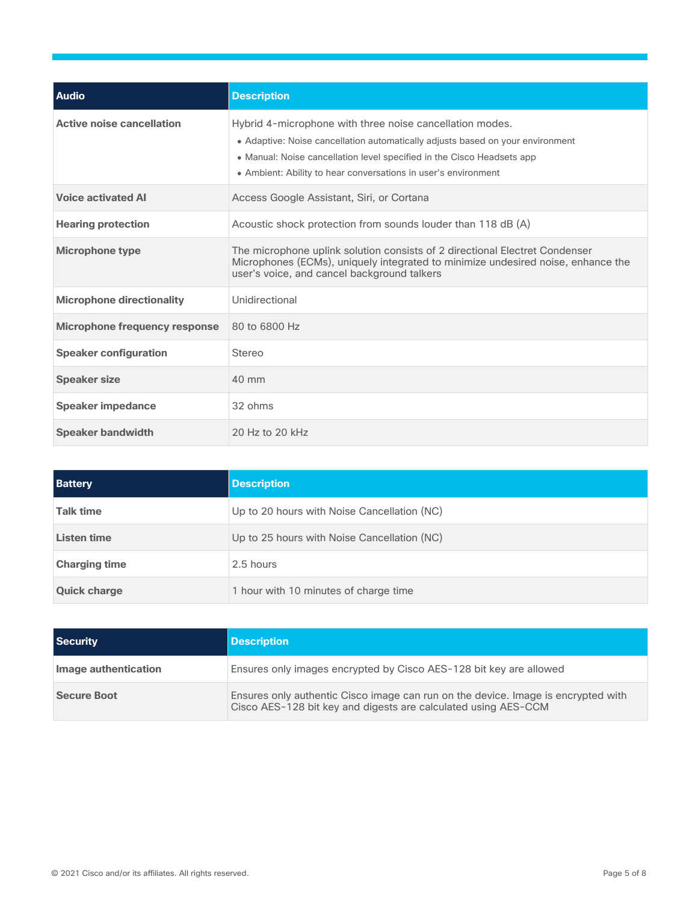| <b>Audio</b>                     | <b>Description</b>                                                                                                                                                                                                                                                                     |
|----------------------------------|----------------------------------------------------------------------------------------------------------------------------------------------------------------------------------------------------------------------------------------------------------------------------------------|
| <b>Active noise cancellation</b> | Hybrid 4-microphone with three noise cancellation modes.<br>• Adaptive: Noise cancellation automatically adjusts based on your environment<br>• Manual: Noise cancellation level specified in the Cisco Headsets app<br>• Ambient: Ability to hear conversations in user's environment |
| <b>Voice activated AI</b>        | Access Google Assistant, Siri, or Cortana                                                                                                                                                                                                                                              |
| <b>Hearing protection</b>        | Acoustic shock protection from sounds louder than 118 dB (A)                                                                                                                                                                                                                           |
| <b>Microphone type</b>           | The microphone uplink solution consists of 2 directional Electret Condenser<br>Microphones (ECMs), uniquely integrated to minimize undesired noise, enhance the<br>user's voice, and cancel background talkers                                                                         |
| <b>Microphone directionality</b> | Unidirectional                                                                                                                                                                                                                                                                         |
| Microphone frequency response    | 80 to 6800 Hz                                                                                                                                                                                                                                                                          |
| <b>Speaker configuration</b>     | <b>Stereo</b>                                                                                                                                                                                                                                                                          |
| <b>Speaker size</b>              | $40 \text{ mm}$                                                                                                                                                                                                                                                                        |
| <b>Speaker impedance</b>         | 32 ohms                                                                                                                                                                                                                                                                                |
| <b>Speaker bandwidth</b>         | 20 Hz to 20 kHz                                                                                                                                                                                                                                                                        |

| <b>Battery</b>       | <b>Description</b>                          |
|----------------------|---------------------------------------------|
| <b>Talk time</b>     | Up to 20 hours with Noise Cancellation (NC) |
| Listen time          | Up to 25 hours with Noise Cancellation (NC) |
| <b>Charging time</b> | 2.5 hours                                   |
| <b>Quick charge</b>  | 1 hour with 10 minutes of charge time       |

| Security             | <b>Description</b>                                                                                                                                  |
|----------------------|-----------------------------------------------------------------------------------------------------------------------------------------------------|
| Image authentication | Ensures only images encrypted by Cisco AES-128 bit key are allowed                                                                                  |
| <b>Secure Boot</b>   | Ensures only authentic Cisco image can run on the device. Image is encrypted with<br>Cisco AES-128 bit key and digests are calculated using AES-CCM |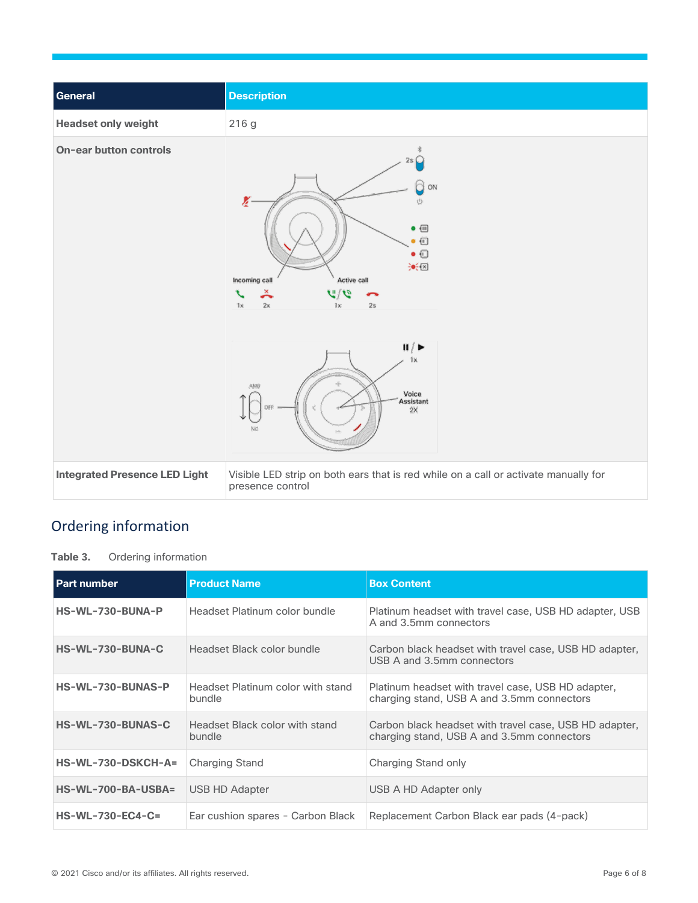

# <span id="page-5-0"></span>Ordering information

**Table 3.** Ordering information

| <b>Part number</b>   | <b>Product Name</b>                         | <b>Box Content</b>                                                                                   |
|----------------------|---------------------------------------------|------------------------------------------------------------------------------------------------------|
| HS-WL-730-BUNA-P     | Headset Platinum color bundle               | Platinum headset with travel case, USB HD adapter, USB<br>A and 3.5mm connectors                     |
| HS-WL-730-BUNA-C     | Headset Black color bundle                  | Carbon black headset with travel case, USB HD adapter,<br>USB A and 3.5mm connectors                 |
| HS-WL-730-BUNAS-P    | Headset Platinum color with stand<br>bundle | Platinum headset with travel case, USB HD adapter,<br>charging stand, USB A and 3.5mm connectors     |
| HS-WL-730-BUNAS-C    | Headset Black color with stand<br>bundle    | Carbon black headset with travel case, USB HD adapter,<br>charging stand, USB A and 3.5mm connectors |
| $HS-WL-730-DSKCH-A=$ | <b>Charging Stand</b>                       | Charging Stand only                                                                                  |
| HS-WL-700-BA-USBA=   | USB HD Adapter                              | USB A HD Adapter only                                                                                |
| $HS-WL-730-EC4-C=$   | Ear cushion spares - Carbon Black           | Replacement Carbon Black ear pads (4-pack)                                                           |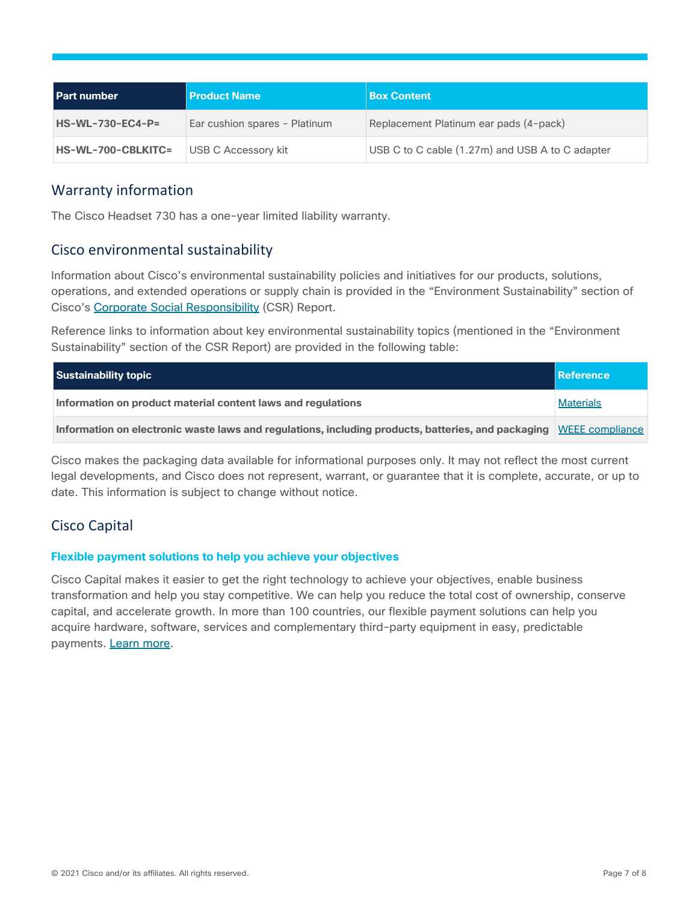| <b>Part number</b>        | <b>Product Name</b>           | <b>Box Content</b>                              |
|---------------------------|-------------------------------|-------------------------------------------------|
| $HS-WL-730-EC4-P=$        | Ear cushion spares - Platinum | Replacement Platinum ear pads (4-pack)          |
| <b>HS-WL-700-CBLKITC=</b> | USB C Accessory kit           | USB C to C cable (1.27m) and USB A to C adapter |

### <span id="page-6-0"></span>Warranty information

The Cisco Headset 730 has a one-year limited liability warranty.

#### <span id="page-6-1"></span>Cisco environmental sustainability

Information about Cisco's environmental sustainability policies and initiatives for our products, solutions, operations, and extended operations or supply chain is provided in the "Environment Sustainability" section of Cisco's Corporate Social [Responsibility](https://www-1.compliance2product.com/c2p/getAttachment.do?code=YM6Y0yThdO6Wj1FxxYPYfUG2dtFkTeFWGpzLRO8tcURFEifUCRV403Tq2ZMWP6Ai) (CSR) Report.

Reference links to information about key environmental sustainability topics (mentioned in the "Environment Sustainability" section of the CSR Report) are provided in the following table:

| Sustainability topic                                                                                               | Reference        |
|--------------------------------------------------------------------------------------------------------------------|------------------|
| Information on product material content laws and regulations                                                       | <b>Materials</b> |
| Information on electronic waste laws and regulations, including products, batteries, and packaging WEEE compliance |                  |

Cisco makes the packaging data available for informational purposes only. It may not reflect the most current legal developments, and Cisco does not represent, warrant, or guarantee that it is complete, accurate, or up to date. This information is subject to change without notice.

# <span id="page-6-2"></span>Cisco Capital

#### **Flexible payment solutions to help you achieve your objectives**

Cisco Capital makes it easier to get the right technology to achieve your objectives, enable business transformation and help you stay competitive. We can help you reduce the total cost of ownership, conserve capital, and accelerate growth. In more than 100 countries, our flexible payment solutions can help you acquire hardware, software, services and complementary third-party equipment in easy, predictable payments. Learn [more.](https://www.cisco.com/go/financing)